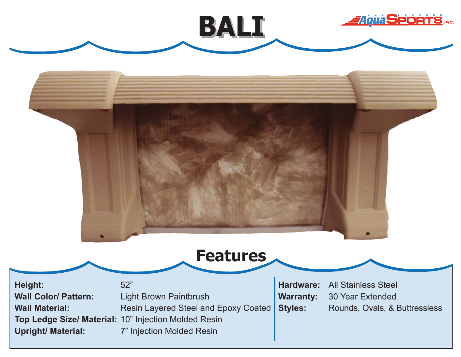